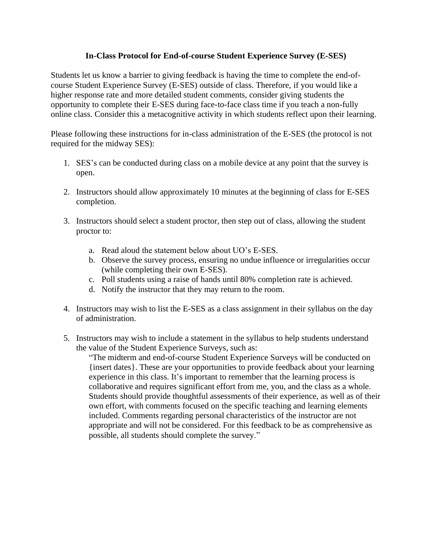## **In-Class Protocol for End-of-course Student Experience Survey (E-SES)**

Students let us know a barrier to giving feedback is having the time to complete the end-ofcourse Student Experience Survey (E-SES) outside of class. Therefore, if you would like a higher response rate and more detailed student comments, consider giving students the opportunity to complete their E-SES during face-to-face class time if you teach a non-fully online class. Consider this a metacognitive activity in which students reflect upon their learning.

Please following these instructions for in-class administration of the E-SES (the protocol is not required for the midway SES):

- 1. SES's can be conducted during class on a mobile device at any point that the survey is open.
- 2. Instructors should allow approximately 10 minutes at the beginning of class for E-SES completion.
- 3. Instructors should select a student proctor, then step out of class, allowing the student proctor to:
	- a. Read aloud the statement below about UO's E-SES.
	- b. Observe the survey process, ensuring no undue influence or irregularities occur (while completing their own E-SES).
	- c. Poll students using a raise of hands until 80% completion rate is achieved.
	- d. Notify the instructor that they may return to the room.
- 4. Instructors may wish to list the E-SES as a class assignment in their syllabus on the day of administration.
- 5. Instructors may wish to include a statement in the syllabus to help students understand the value of the Student Experience Surveys, such as:

"The midterm and end-of-course Student Experience Surveys will be conducted on {insert dates}. These are your opportunities to provide feedback about your learning experience in this class. It's important to remember that the learning process is collaborative and requires significant effort from me, you, and the class as a whole. Students should provide thoughtful assessments of their experience, as well as of their own effort, with comments focused on the specific teaching and learning elements included. Comments regarding personal characteristics of the instructor are not appropriate and will not be considered. For this feedback to be as comprehensive as possible, all students should complete the survey."